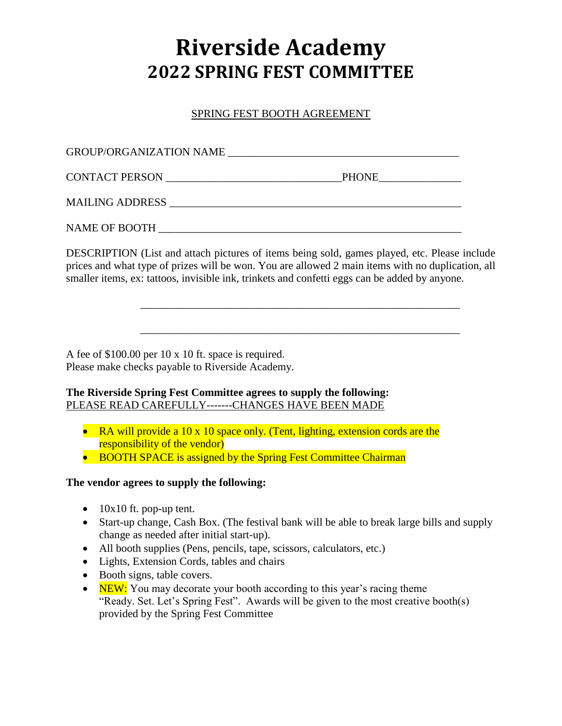# **Riverside Academy 2022 SPRING FEST COMMITTEE**

SPRING FEST BOOTH AGREEMENT

| <b>GROUP/ORGANIZATION NAME</b> |              |
|--------------------------------|--------------|
| CONTACT PERSON                 | <b>PHONE</b> |
| MAILING ADDRESS                |              |
| NAME OF BOOTH                  |              |

DESCRIPTION (List and attach pictures of items being sold, games played, etc. Please include prices and what type of prizes will be won. You are allowed 2 main items with no duplication, all smaller items, ex: tattoos, invisible ink, trinkets and confetti eggs can be added by anyone.

\_\_\_\_\_\_\_\_\_\_\_\_\_\_\_\_\_\_\_\_\_\_\_\_\_\_\_\_\_\_\_\_\_\_\_\_\_\_\_\_\_\_\_\_\_\_\_\_\_\_\_\_\_\_\_\_\_\_

\_\_\_\_\_\_\_\_\_\_\_\_\_\_\_\_\_\_\_\_\_\_\_\_\_\_\_\_\_\_\_\_\_\_\_\_\_\_\_\_\_\_\_\_\_\_\_\_\_\_\_\_\_\_\_\_\_\_

A fee of \$100.00 per 10 x 10 ft. space is required. Please make checks payable to Riverside Academy.

## **The Riverside Spring Fest Committee agrees to supply the following:** PLEASE READ CAREFULLY-------CHANGES HAVE BEEN MADE

- RA will provide a 10 x 10 space only. (Tent, lighting, extension cords are the responsibility of the vendor)
- BOOTH SPACE is assigned by the Spring Fest Committee Chairman

## **The vendor agrees to supply the following:**

- $\bullet$  10x10 ft. pop-up tent.
- Start-up change, Cash Box. (The festival bank will be able to break large bills and supply change as needed after initial start-up).
- All booth supplies (Pens, pencils, tape, scissors, calculators, etc.)
- Lights, Extension Cords, tables and chairs
- Booth signs, table covers.
- $\bullet$  NEW: You may decorate your booth according to this year's racing theme "Ready. Set. Let's Spring Fest". Awards will be given to the most creative booth(s) provided by the Spring Fest Committee